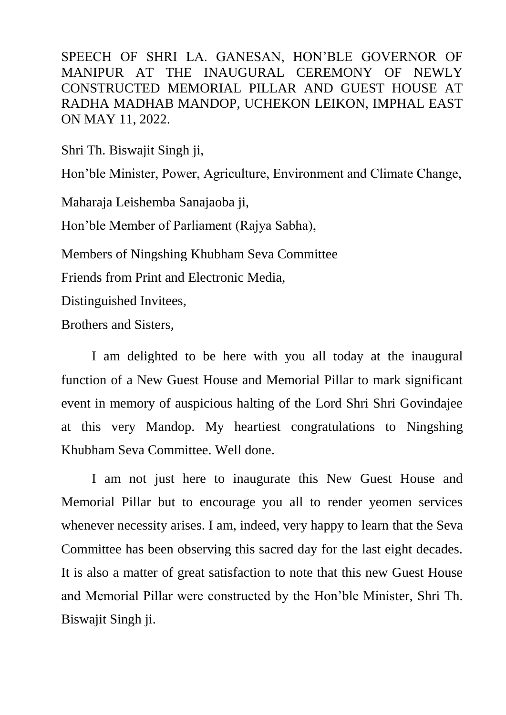SPEECH OF SHRI LA. GANESAN, HON'BLE GOVERNOR OF MANIPUR AT THE INAUGURAL CEREMONY OF NEWLY CONSTRUCTED MEMORIAL PILLAR AND GUEST HOUSE AT RADHA MADHAB MANDOP, UCHEKON LEIKON, IMPHAL EAST ON MAY 11, 2022.

Shri Th. Biswajit Singh ji,

Hon'ble Minister, Power, Agriculture, Environment and Climate Change,

Maharaja Leishemba Sanajaoba ji,

Hon'ble Member of Parliament (Rajya Sabha),

Members of Ningshing Khubham Seva Committee

Friends from Print and Electronic Media,

Distinguished Invitees,

Brothers and Sisters,

I am delighted to be here with you all today at the inaugural function of a New Guest House and Memorial Pillar to mark significant event in memory of auspicious halting of the Lord Shri Shri Govindajee at this very Mandop. My heartiest congratulations to Ningshing Khubham Seva Committee. Well done.

I am not just here to inaugurate this New Guest House and Memorial Pillar but to encourage you all to render yeomen services whenever necessity arises. I am, indeed, very happy to learn that the Seva Committee has been observing this sacred day for the last eight decades. It is also a matter of great satisfaction to note that this new Guest House and Memorial Pillar were constructed by the Hon'ble Minister, Shri Th. Biswajit Singh ji.